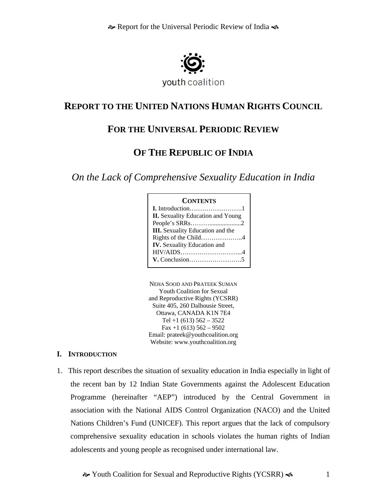

### **REPORT TO THE UNITED NATIONS HUMAN RIGHTS COUNCIL**

# **FOR THE UNIVERSAL PERIODIC REVIEW**

# **OF THE REPUBLIC OF INDIA**

*On the Lack of Comprehensive Sexuality Education in India* 

### **CONTENTS**

| <b>II.</b> Sexuality Education and Young |
|------------------------------------------|
|                                          |
| <b>III.</b> Sexuality Education and the  |
| Rights of the Child4                     |
| <b>IV.</b> Sexuality Education and       |
|                                          |
|                                          |
|                                          |

NEHA SOOD AND PRATEEK SUMAN Youth Coalition for Sexual and Reproductive Rights (YCSRR) Suite 405, 260 Dalhousie Street, Ottawa, CANADA K1N 7E4 Tel  $+1$  (613) 562 – 3522 Fax  $+1$  (613) 562 – 9502 Email: prateek@youthcoalition.org Website: www.youthcoalition.org

### **I. INTRODUCTION**

1. This report describes the situation of sexuality education in India especially in light of the recent ban by 12 Indian State Governments against the Adolescent Education Programme (hereinafter "AEP") introduced by the Central Government in association with the National AIDS Control Organization (NACO) and the United Nations Children's Fund (UNICEF). This report argues that the lack of compulsory comprehensive sexuality education in schools violates the human rights of Indian adolescents and young people as recognised under international law.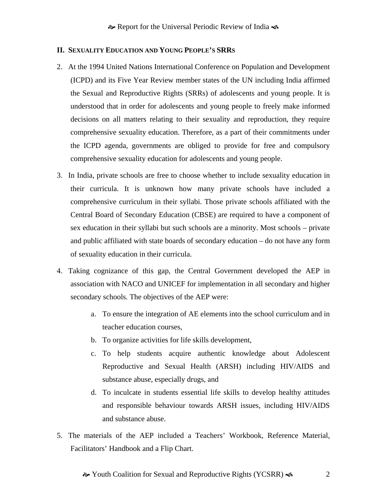### **II. SEXUALITY EDUCATION AND YOUNG PEOPLE'S SRRS**

- 2. At the 1994 United Nations International Conference on Population and Development (ICPD) and its Five Year Review member states of the UN including India affirmed the Sexual and Reproductive Rights (SRRs) of adolescents and young people. It is understood that in order for adolescents and young people to freely make informed decisions on all matters relating to their sexuality and reproduction, they require comprehensive sexuality education. Therefore, as a part of their commitments under the ICPD agenda, governments are obliged to provide for free and compulsory comprehensive sexuality education for adolescents and young people.
- 3. In India, private schools are free to choose whether to include sexuality education in their curricula. It is unknown how many private schools have included a comprehensive curriculum in their syllabi. Those private schools affiliated with the Central Board of Secondary Education (CBSE) are required to have a component of sex education in their syllabi but such schools are a minority. Most schools – private and public affiliated with state boards of secondary education – do not have any form of sexuality education in their curricula.
- 4. Taking cognizance of this gap, the Central Government developed the AEP in association with NACO and UNICEF for implementation in all secondary and higher secondary schools. The objectives of the AEP were:
	- a. To ensure the integration of AE elements into the school curriculum and in teacher education courses,
	- b. To organize activities for life skills development,
	- c. To help students acquire authentic knowledge about Adolescent Reproductive and Sexual Health (ARSH) including HIV/AIDS and substance abuse, especially drugs, and
	- d. To inculcate in students essential life skills to develop healthy attitudes and responsible behaviour towards ARSH issues, including HIV/AIDS and substance abuse.
- 5. The materials of the AEP included a Teachers' Workbook, Reference Material, Facilitators' Handbook and a Flip Chart.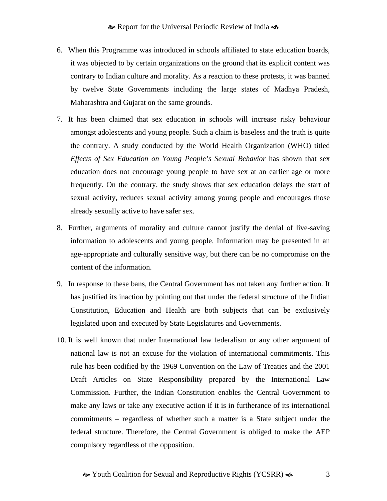- 6. When this Programme was introduced in schools affiliated to state education boards, it was objected to by certain organizations on the ground that its explicit content was contrary to Indian culture and morality. As a reaction to these protests, it was banned by twelve State Governments including the large states of Madhya Pradesh, Maharashtra and Gujarat on the same grounds.
- 7. It has been claimed that sex education in schools will increase risky behaviour amongst adolescents and young people. Such a claim is baseless and the truth is quite the contrary. A study conducted by the World Health Organization (WHO) titled *Effects of Sex Education on Young People's Sexual Behavior* has shown that sex education does not encourage young people to have sex at an earlier age or more frequently. On the contrary, the study shows that sex education delays the start of sexual activity, reduces sexual activity among young people and encourages those already sexually active to have safer sex.
- 8. Further, arguments of morality and culture cannot justify the denial of live-saving information to adolescents and young people. Information may be presented in an age-appropriate and culturally sensitive way, but there can be no compromise on the content of the information.
- 9. In response to these bans, the Central Government has not taken any further action. It has justified its inaction by pointing out that under the federal structure of the Indian Constitution, Education and Health are both subjects that can be exclusively legislated upon and executed by State Legislatures and Governments.
- 10. It is well known that under International law federalism or any other argument of national law is not an excuse for the violation of international commitments. This rule has been codified by the 1969 Convention on the Law of Treaties and the 2001 Draft Articles on State Responsibility prepared by the International Law Commission. Further, the Indian Constitution enables the Central Government to make any laws or take any executive action if it is in furtherance of its international commitments – regardless of whether such a matter is a State subject under the federal structure. Therefore, the Central Government is obliged to make the AEP compulsory regardless of the opposition.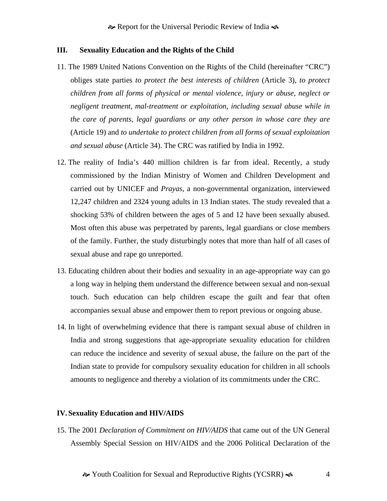#### **III. Sexuality Education and the Rights of the Child**

- 11. The 1989 United Nations Convention on the Rights of the Child (hereinafter "CRC") obliges state parties *to protect the best interests of children* (Article 3), *to protect children from all forms of physical or mental violence, injury or abuse, neglect or negligent treatment, mal-treatment or exploitation, including sexual abuse while in the care of parents, legal guardians or any other person in whose care they are*  (Article 19) and *to undertake to protect children from all forms of sexual exploitation and sexual abuse* (Article 34). The CRC was ratified by India in 1992.
- 12. The reality of India's 440 million children is far from ideal. Recently, a study commissioned by the Indian Ministry of Women and Children Development and carried out by UNICEF and *Prayas*, a non-governmental organization, interviewed 12,247 children and 2324 young adults in 13 Indian states. The study revealed that a shocking 53% of children between the ages of 5 and 12 have been sexually abused. Most often this abuse was perpetrated by parents, legal guardians or close members of the family. Further, the study disturbingly notes that more than half of all cases of sexual abuse and rape go unreported.
- 13. Educating children about their bodies and sexuality in an age-appropriate way can go a long way in helping them understand the difference between sexual and non-sexual touch. Such education can help children escape the guilt and fear that often accompanies sexual abuse and empower them to report previous or ongoing abuse.
- 14. In light of overwhelming evidence that there is rampant sexual abuse of children in India and strong suggestions that age-appropriate sexuality education for children can reduce the incidence and severity of sexual abuse, the failure on the part of the Indian state to provide for compulsory sexuality education for children in all schools amounts to negligence and thereby a violation of its commitments under the CRC.

#### **IV. Sexuality Education and HIV/AIDS**

15. The 2001 *Declaration of Commitment on HIV/AIDS* that came out of the UN General Assembly Special Session on HIV/AIDS and the 2006 Political Declaration of the